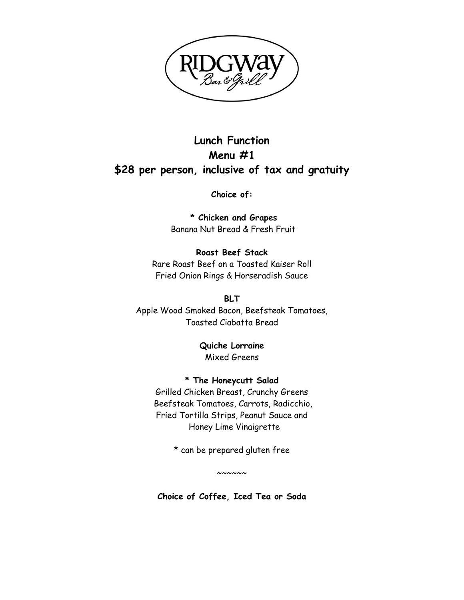

# **Lunch Function Menu #1 \$28 per person, inclusive of tax and gratuity**

**Choice of:**

**\* Chicken and Grapes** Banana Nut Bread & Fresh Fruit

**Roast Beef Stack** Rare Roast Beef on a Toasted Kaiser Roll Fried Onion Rings & Horseradish Sauce

**BLT** Apple Wood Smoked Bacon, Beefsteak Tomatoes, Toasted Ciabatta Bread

> **Quiche Lorraine** Mixed Greens

**\* The Honeycutt Salad** Grilled Chicken Breast, Crunchy Greens Beefsteak Tomatoes, Carrots, Radicchio, Fried Tortilla Strips, Peanut Sauce and Honey Lime Vinaigrette

\* can be prepared gluten free

**Choice of Coffee, Iced Tea or Soda**

 $\sim\sim\sim\sim\sim$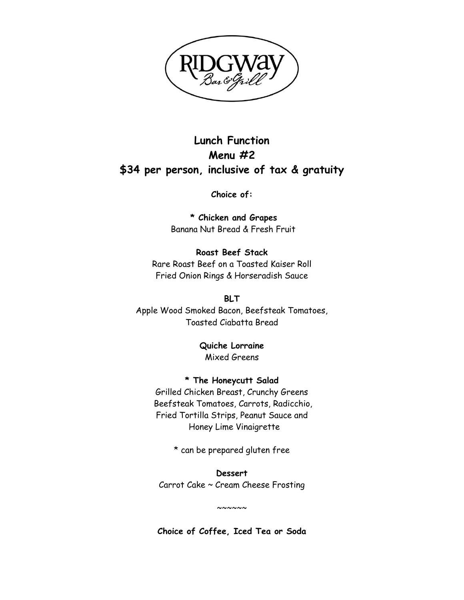

# **Lunch Function Menu #2 \$34 per person, inclusive of tax & gratuity**

**Choice of:**

**\* Chicken and Grapes** Banana Nut Bread & Fresh Fruit

**Roast Beef Stack** Rare Roast Beef on a Toasted Kaiser Roll Fried Onion Rings & Horseradish Sauce

**BLT** Apple Wood Smoked Bacon, Beefsteak Tomatoes, Toasted Ciabatta Bread

> **Quiche Lorraine** Mixed Greens

**\* The Honeycutt Salad** Grilled Chicken Breast, Crunchy Greens Beefsteak Tomatoes, Carrots, Radicchio, Fried Tortilla Strips, Peanut Sauce and Honey Lime Vinaigrette

\* can be prepared gluten free

**Dessert** Carrot Cake ~ Cream Cheese Frosting

**Choice of Coffee, Iced Tea or Soda**

 $\sim\sim\sim\sim\sim$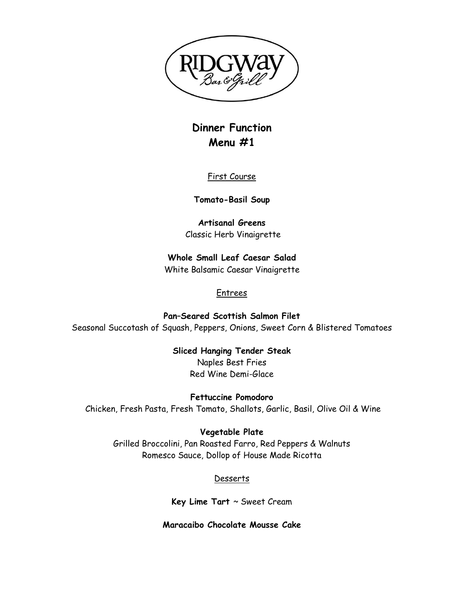

## **Dinner Function Menu #1**

First Course

**Tomato-Basil Soup**

**Artisanal Greens** Classic Herb Vinaigrette

**Whole Small Leaf Caesar Salad** White Balsamic Caesar Vinaigrette

### Entrees

**Pan–Seared Scottish Salmon Filet** Seasonal Succotash of Squash, Peppers, Onions, Sweet Corn & Blistered Tomatoes

> **Sliced Hanging Tender Steak** Naples Best Fries Red Wine Demi-Glace

**Fettuccine Pomodoro**  Chicken, Fresh Pasta, Fresh Tomato, Shallots, Garlic, Basil, Olive Oil & Wine

**Vegetable Plate**  Grilled Broccolini, Pan Roasted Farro, Red Peppers & Walnuts Romesco Sauce, Dollop of House Made Ricotta

#### Desserts

**Key Lime Tart** ~ Sweet Cream

**Maracaibo Chocolate Mousse Cake**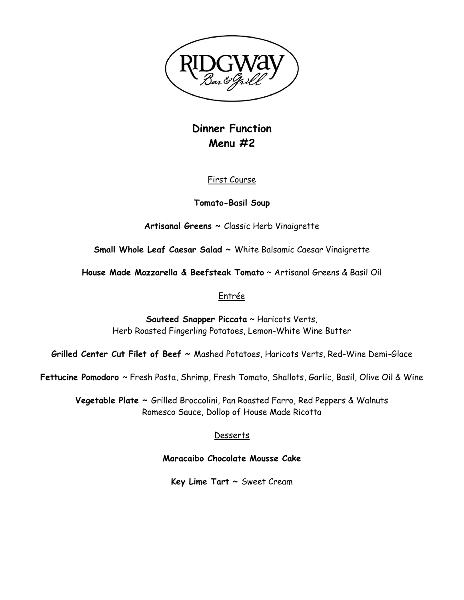

## **Dinner Function Menu #2**

#### First Course

**Tomato-Basil Soup**

**Artisanal Greens ~** Classic Herb Vinaigrette

**Small Whole Leaf Caesar Salad ~** White Balsamic Caesar Vinaigrette

**House Made Mozzarella & Beefsteak Tomato** ~ Artisanal Greens & Basil Oil

Entrée

**Sauteed Snapper Piccata** ~ Haricots Verts, Herb Roasted Fingerling Potatoes, Lemon-White Wine Butter

**Grilled Center Cut Filet of Beef ~** Mashed Potatoes, Haricots Verts, Red-Wine Demi-Glace

**Fettucine Pomodoro** ~ Fresh Pasta, Shrimp, Fresh Tomato, Shallots, Garlic, Basil, Olive Oil & Wine

**Vegetable Plate ~** Grilled Broccolini, Pan Roasted Farro, Red Peppers & Walnuts Romesco Sauce, Dollop of House Made Ricotta

#### Desserts

#### **Maracaibo Chocolate Mousse Cake**

**Key Lime Tart ~** Sweet Cream